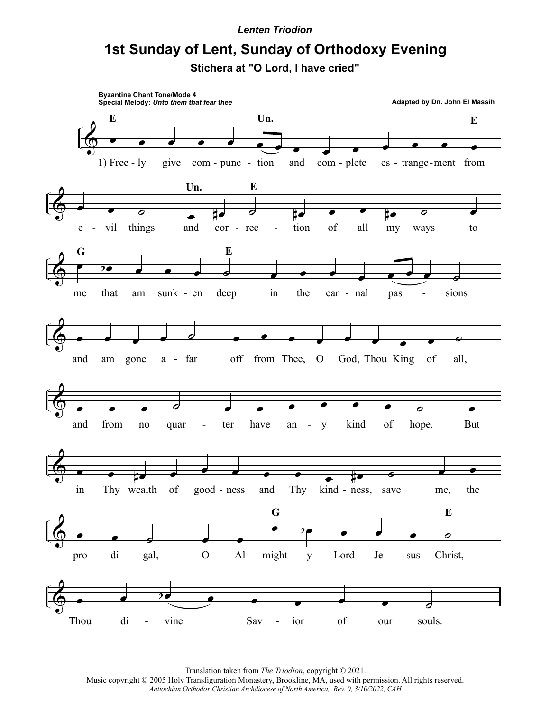## **Lenten Triodion**

## 1st Sunday of Lent, Sunday of Orthodoxy Evening

Stichera at "O Lord, I have cried"



Translation taken from The Triodion, copyright © 2021. Music copyright © 2005 Holy Transfiguration Monastery, Brookline, MA, used with permission. All rights reserved. Antiochian Orthodox Christian Archdiocese of North America, Rev. 0, 3/10/2022, CAH